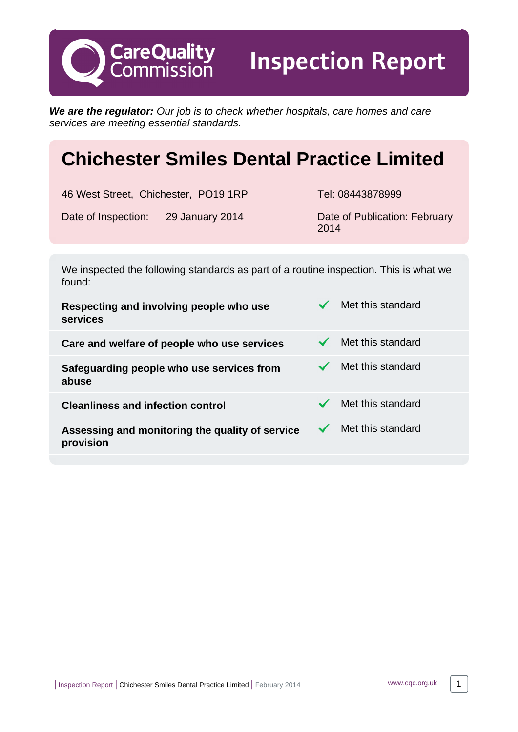**We are the regulator:** Our job is to check whether hospitals, care homes and care services are meeting essential standards.

# **Chichester Smiles Dental Practice Limited**

46 West Street, Chichester, PO19 1RP Tel: 08443878999

**CareQuality**<br>Commission

Date of Inspection: 29 January 2014 Date of Publication: February

Inspection Report

2014

We inspected the following standards as part of a routine inspection. This is what we found:

| Respecting and involving people who use<br>services          | Met this standard |
|--------------------------------------------------------------|-------------------|
| Care and welfare of people who use services                  | Met this standard |
| Safeguarding people who use services from<br>abuse           | Met this standard |
| <b>Cleanliness and infection control</b>                     | Met this standard |
| Assessing and monitoring the quality of service<br>provision | Met this standard |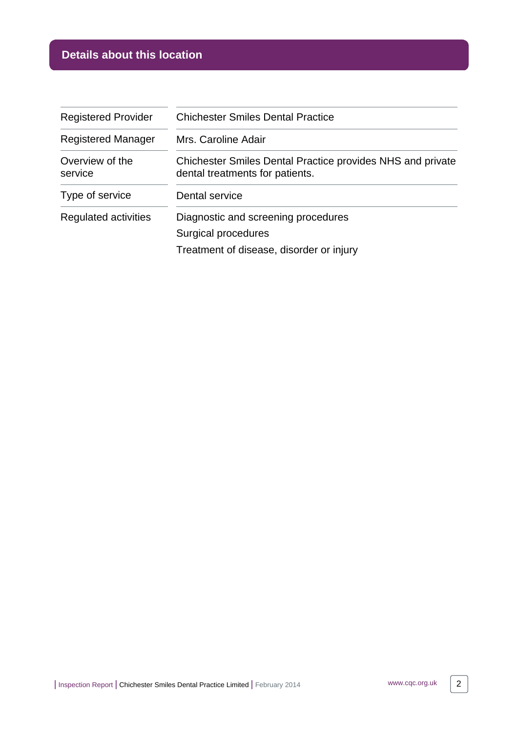# **Details about this location**

| <b>Registered Provider</b> | <b>Chichester Smiles Dental Practice</b>                                                             |  |
|----------------------------|------------------------------------------------------------------------------------------------------|--|
| <b>Registered Manager</b>  | Mrs. Caroline Adair                                                                                  |  |
| Overview of the<br>service | <b>Chichester Smiles Dental Practice provides NHS and private</b><br>dental treatments for patients. |  |
| Type of service            | Dental service                                                                                       |  |
| Regulated activities       | Diagnostic and screening procedures                                                                  |  |
|                            | Surgical procedures                                                                                  |  |
|                            | Treatment of disease, disorder or injury                                                             |  |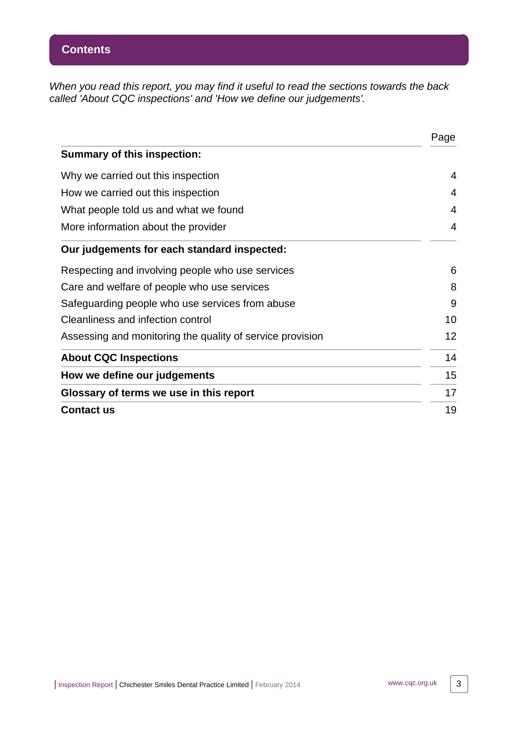When you read this report, you may find it useful to read the sections towards the back called 'About CQC inspections' and 'How we define our judgements'.

|                                                           | Page |
|-----------------------------------------------------------|------|
| <b>Summary of this inspection:</b>                        |      |
| Why we carried out this inspection                        | 4    |
| How we carried out this inspection                        | 4    |
| What people told us and what we found                     | 4    |
| More information about the provider                       | 4    |
| Our judgements for each standard inspected:               |      |
| Respecting and involving people who use services          | 6    |
| Care and welfare of people who use services               | 8    |
| Safeguarding people who use services from abuse           | 9    |
| Cleanliness and infection control                         | 10   |
| Assessing and monitoring the quality of service provision | 12   |
| <b>About CQC Inspections</b>                              | 14   |
| How we define our judgements                              | 15   |
| Glossary of terms we use in this report                   | 17   |
| <b>Contact us</b>                                         | 19   |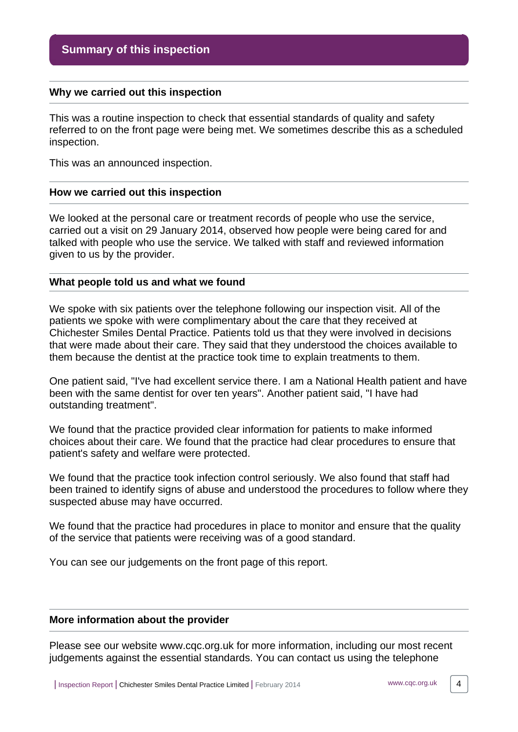#### <span id="page-3-0"></span>**Why we carried out this inspection**

This was a routine inspection to check that essential standards of quality and safety referred to on the front page were being met. We sometimes describe this as a scheduled inspection.

This was an announced inspection.

#### <span id="page-3-1"></span>**How we carried out this inspection**

We looked at the personal care or treatment records of people who use the service, carried out a visit on 29 January 2014, observed how people were being cared for and talked with people who use the service. We talked with staff and reviewed information given to us by the provider.

#### <span id="page-3-2"></span>**What people told us and what we found**

We spoke with six patients over the telephone following our inspection visit. All of the patients we spoke with were complimentary about the care that they received at Chichester Smiles Dental Practice. Patients told us that they were involved in decisions that were made about their care. They said that they understood the choices available to them because the dentist at the practice took time to explain treatments to them.

One patient said, "I've had excellent service there. I am a National Health patient and have been with the same dentist for over ten years". Another patient said, "I have had outstanding treatment".

We found that the practice provided clear information for patients to make informed choices about their care. We found that the practice had clear procedures to ensure that patient's safety and welfare were protected.

We found that the practice took infection control seriously. We also found that staff had been trained to identify signs of abuse and understood the procedures to follow where they suspected abuse may have occurred.

We found that the practice had procedures in place to monitor and ensure that the quality of the service that patients were receiving was of a good standard.

You can see our judgements on the front page of this report.

#### <span id="page-3-3"></span>**More information about the provider**

Please see our website www.cqc.org.uk for more information, including our most recent judgements against the essential standards. You can contact us using the telephone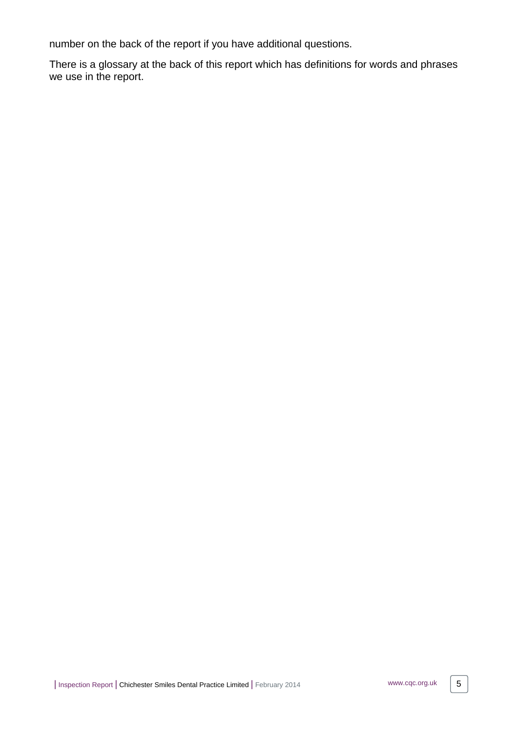number on the back of the report if you have additional questions.

There is a glossary at the back of this report which has definitions for words and phrases we use in the report.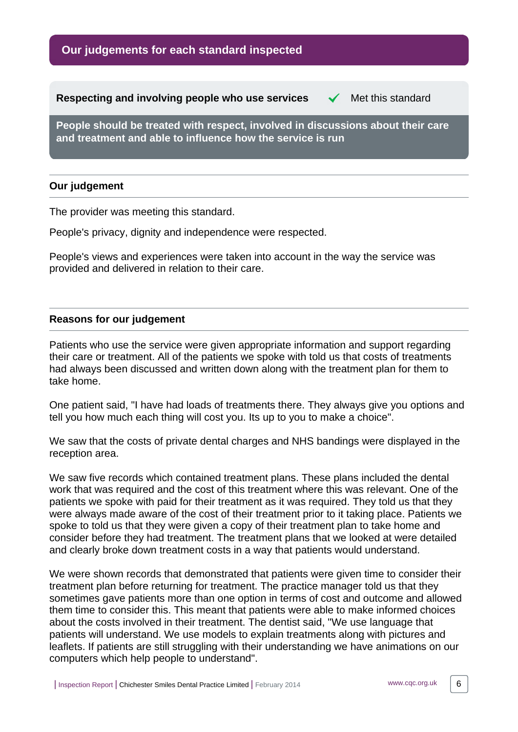# **Our judgements for each standard inspected**

<span id="page-5-0"></span>**Respecting and involving people who use services**  $\checkmark$  **Met this standard** 

**People should be treated with respect, involved in discussions about their care and treatment and able to influence how the service is run**

#### **Our judgement**

The provider was meeting this standard.

People's privacy, dignity and independence were respected.

People's views and experiences were taken into account in the way the service was provided and delivered in relation to their care.

#### **Reasons for our judgement**

Patients who use the service were given appropriate information and support regarding their care or treatment. All of the patients we spoke with told us that costs of treatments had always been discussed and written down along with the treatment plan for them to take home.

One patient said, "I have had loads of treatments there. They always give you options and tell you how much each thing will cost you. Its up to you to make a choice".

We saw that the costs of private dental charges and NHS bandings were displayed in the reception area.

We saw five records which contained treatment plans. These plans included the dental work that was required and the cost of this treatment where this was relevant. One of the patients we spoke with paid for their treatment as it was required. They told us that they were always made aware of the cost of their treatment prior to it taking place. Patients we spoke to told us that they were given a copy of their treatment plan to take home and consider before they had treatment. The treatment plans that we looked at were detailed and clearly broke down treatment costs in a way that patients would understand.

We were shown records that demonstrated that patients were given time to consider their treatment plan before returning for treatment. The practice manager told us that they sometimes gave patients more than one option in terms of cost and outcome and allowed them time to consider this. This meant that patients were able to make informed choices about the costs involved in their treatment. The dentist said, "We use language that patients will understand. We use models to explain treatments along with pictures and leaflets. If patients are still struggling with their understanding we have animations on our computers which help people to understand".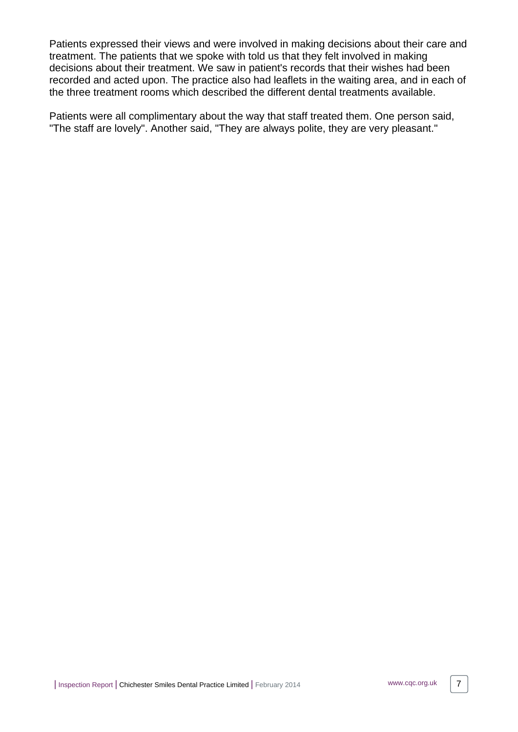Patients expressed their views and were involved in making decisions about their care and treatment. The patients that we spoke with told us that they felt involved in making decisions about their treatment. We saw in patient's records that their wishes had been recorded and acted upon. The practice also had leaflets in the waiting area, and in each of the three treatment rooms which described the different dental treatments available.

Patients were all complimentary about the way that staff treated them. One person said, "The staff are lovely". Another said, "They are always polite, they are very pleasant."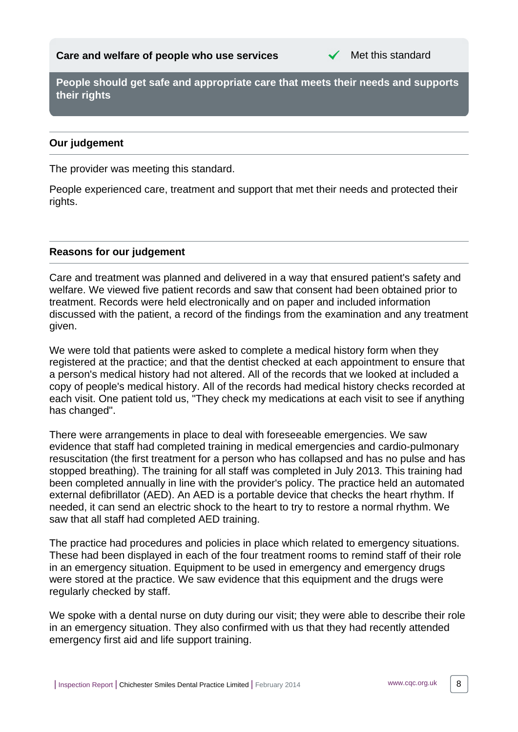

<span id="page-7-0"></span>**People should get safe and appropriate care that meets their needs and supports their rights**

### **Our judgement**

The provider was meeting this standard.

People experienced care, treatment and support that met their needs and protected their rights.

#### **Reasons for our judgement**

Care and treatment was planned and delivered in a way that ensured patient's safety and welfare. We viewed five patient records and saw that consent had been obtained prior to treatment. Records were held electronically and on paper and included information discussed with the patient, a record of the findings from the examination and any treatment given.

We were told that patients were asked to complete a medical history form when they registered at the practice; and that the dentist checked at each appointment to ensure that a person's medical history had not altered. All of the records that we looked at included a copy of people's medical history. All of the records had medical history checks recorded at each visit. One patient told us, "They check my medications at each visit to see if anything has changed".

There were arrangements in place to deal with foreseeable emergencies. We saw evidence that staff had completed training in medical emergencies and cardio-pulmonary resuscitation (the first treatment for a person who has collapsed and has no pulse and has stopped breathing). The training for all staff was completed in July 2013. This training had been completed annually in line with the provider's policy. The practice held an automated external defibrillator (AED). An AED is a portable device that checks the heart rhythm. If needed, it can send an electric shock to the heart to try to restore a normal rhythm. We saw that all staff had completed AED training.

The practice had procedures and policies in place which related to emergency situations. These had been displayed in each of the four treatment rooms to remind staff of their role in an emergency situation. Equipment to be used in emergency and emergency drugs were stored at the practice. We saw evidence that this equipment and the drugs were regularly checked by staff.

We spoke with a dental nurse on duty during our visit; they were able to describe their role in an emergency situation. They also confirmed with us that they had recently attended emergency first aid and life support training.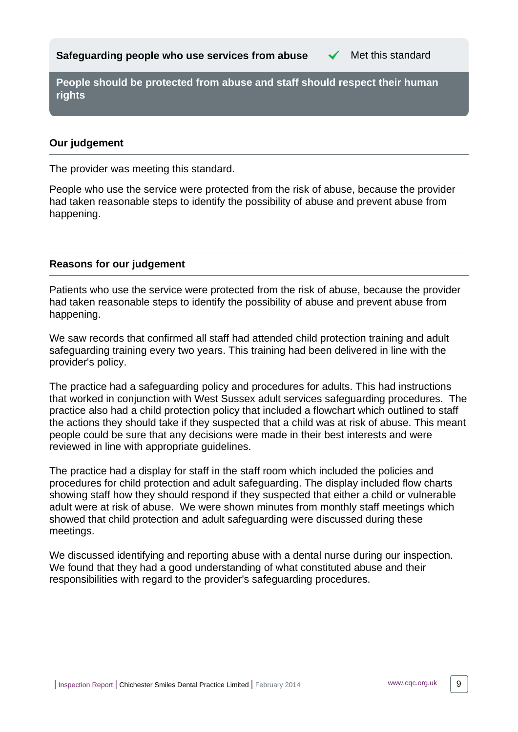<span id="page-8-0"></span>**People should be protected from abuse and staff should respect their human rights**

#### **Our judgement**

The provider was meeting this standard.

People who use the service were protected from the risk of abuse, because the provider had taken reasonable steps to identify the possibility of abuse and prevent abuse from happening.

#### **Reasons for our judgement**

Patients who use the service were protected from the risk of abuse, because the provider had taken reasonable steps to identify the possibility of abuse and prevent abuse from happening.

We saw records that confirmed all staff had attended child protection training and adult safeguarding training every two years. This training had been delivered in line with the provider's policy.

The practice had a safeguarding policy and procedures for adults. This had instructions that worked in conjunction with West Sussex adult services safeguarding procedures. The practice also had a child protection policy that included a flowchart which outlined to staff the actions they should take if they suspected that a child was at risk of abuse. This meant people could be sure that any decisions were made in their best interests and were reviewed in line with appropriate guidelines.

The practice had a display for staff in the staff room which included the policies and procedures for child protection and adult safeguarding. The display included flow charts showing staff how they should respond if they suspected that either a child or vulnerable adult were at risk of abuse. We were shown minutes from monthly staff meetings which showed that child protection and adult safeguarding were discussed during these meetings.

We discussed identifying and reporting abuse with a dental nurse during our inspection. We found that they had a good understanding of what constituted abuse and their responsibilities with regard to the provider's safeguarding procedures.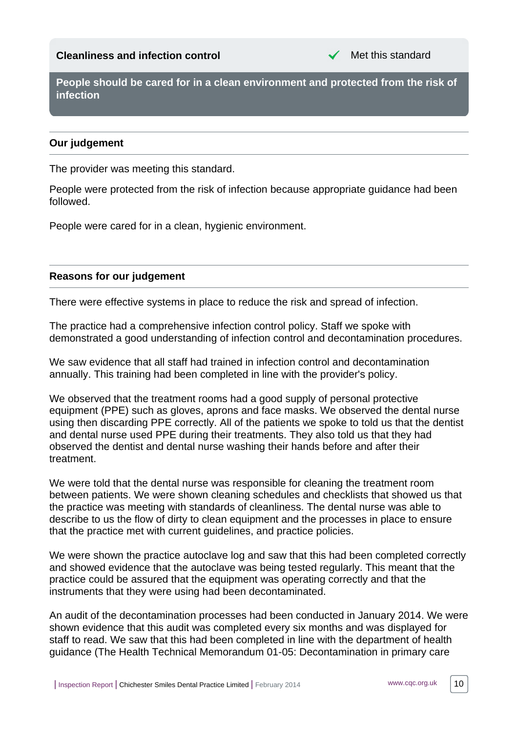# <span id="page-9-0"></span>**Cleanliness and infection control** Met this standard



**People should be cared for in a clean environment and protected from the risk of infection**

#### **Our judgement**

The provider was meeting this standard.

People were protected from the risk of infection because appropriate guidance had been followed.

People were cared for in a clean, hygienic environment.

#### **Reasons for our judgement**

There were effective systems in place to reduce the risk and spread of infection.

The practice had a comprehensive infection control policy. Staff we spoke with demonstrated a good understanding of infection control and decontamination procedures.

We saw evidence that all staff had trained in infection control and decontamination annually. This training had been completed in line with the provider's policy.

We observed that the treatment rooms had a good supply of personal protective equipment (PPE) such as gloves, aprons and face masks. We observed the dental nurse using then discarding PPE correctly. All of the patients we spoke to told us that the dentist and dental nurse used PPE during their treatments. They also told us that they had observed the dentist and dental nurse washing their hands before and after their treatment.

We were told that the dental nurse was responsible for cleaning the treatment room between patients. We were shown cleaning schedules and checklists that showed us that the practice was meeting with standards of cleanliness. The dental nurse was able to describe to us the flow of dirty to clean equipment and the processes in place to ensure that the practice met with current guidelines, and practice policies.

We were shown the practice autoclave log and saw that this had been completed correctly and showed evidence that the autoclave was being tested regularly. This meant that the practice could be assured that the equipment was operating correctly and that the instruments that they were using had been decontaminated.

An audit of the decontamination processes had been conducted in January 2014. We were shown evidence that this audit was completed every six months and was displayed for staff to read. We saw that this had been completed in line with the department of health guidance (The Health Technical Memorandum 01-05: Decontamination in primary care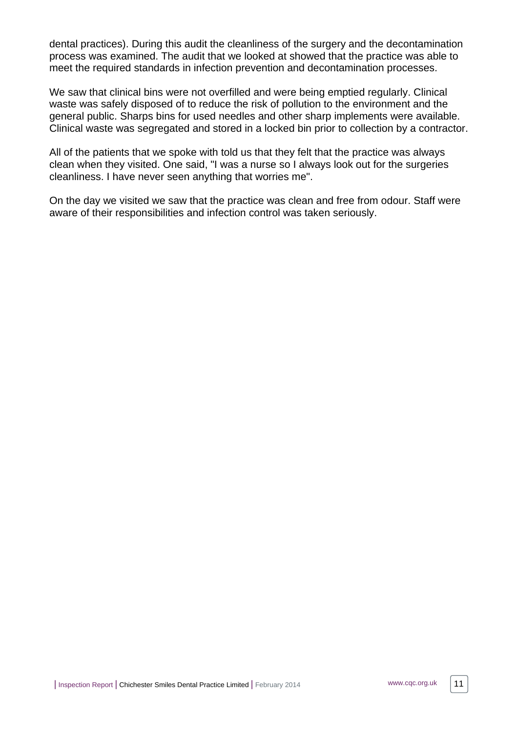dental practices). During this audit the cleanliness of the surgery and the decontamination process was examined. The audit that we looked at showed that the practice was able to meet the required standards in infection prevention and decontamination processes.

We saw that clinical bins were not overfilled and were being emptied regularly. Clinical waste was safely disposed of to reduce the risk of pollution to the environment and the general public. Sharps bins for used needles and other sharp implements were available. Clinical waste was segregated and stored in a locked bin prior to collection by a contractor.

All of the patients that we spoke with told us that they felt that the practice was always clean when they visited. One said, "I was a nurse so I always look out for the surgeries cleanliness. I have never seen anything that worries me".

On the day we visited we saw that the practice was clean and free from odour. Staff were aware of their responsibilities and infection control was taken seriously.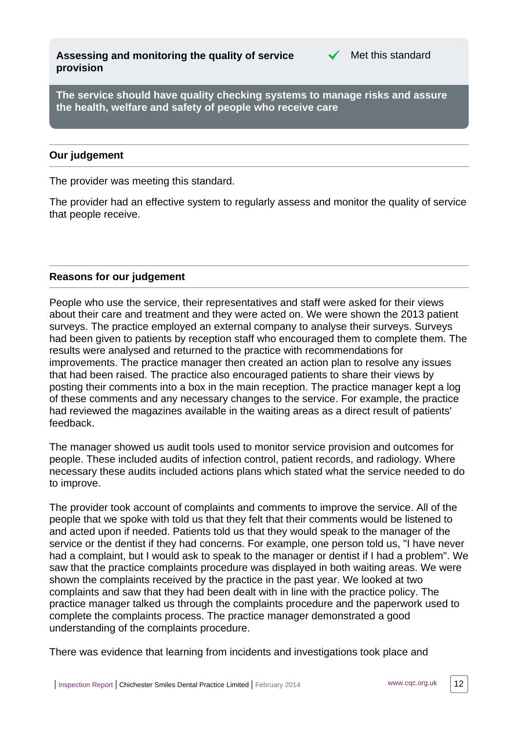<span id="page-11-0"></span>**Assessing and monitoring the quality of service provision**



**The service should have quality checking systems to manage risks and assure the health, welfare and safety of people who receive care**

#### **Our judgement**

The provider was meeting this standard.

The provider had an effective system to regularly assess and monitor the quality of service that people receive.

#### **Reasons for our judgement**

People who use the service, their representatives and staff were asked for their views about their care and treatment and they were acted on. We were shown the 2013 patient surveys. The practice employed an external company to analyse their surveys. Surveys had been given to patients by reception staff who encouraged them to complete them. The results were analysed and returned to the practice with recommendations for improvements. The practice manager then created an action plan to resolve any issues that had been raised. The practice also encouraged patients to share their views by posting their comments into a box in the main reception. The practice manager kept a log of these comments and any necessary changes to the service. For example, the practice had reviewed the magazines available in the waiting areas as a direct result of patients' feedback.

The manager showed us audit tools used to monitor service provision and outcomes for people. These included audits of infection control, patient records, and radiology. Where necessary these audits included actions plans which stated what the service needed to do to improve.

The provider took account of complaints and comments to improve the service. All of the people that we spoke with told us that they felt that their comments would be listened to and acted upon if needed. Patients told us that they would speak to the manager of the service or the dentist if they had concerns. For example, one person told us, "I have never had a complaint, but I would ask to speak to the manager or dentist if I had a problem". We saw that the practice complaints procedure was displayed in both waiting areas. We were shown the complaints received by the practice in the past year. We looked at two complaints and saw that they had been dealt with in line with the practice policy. The practice manager talked us through the complaints procedure and the paperwork used to complete the complaints process. The practice manager demonstrated a good understanding of the complaints procedure.

There was evidence that learning from incidents and investigations took place and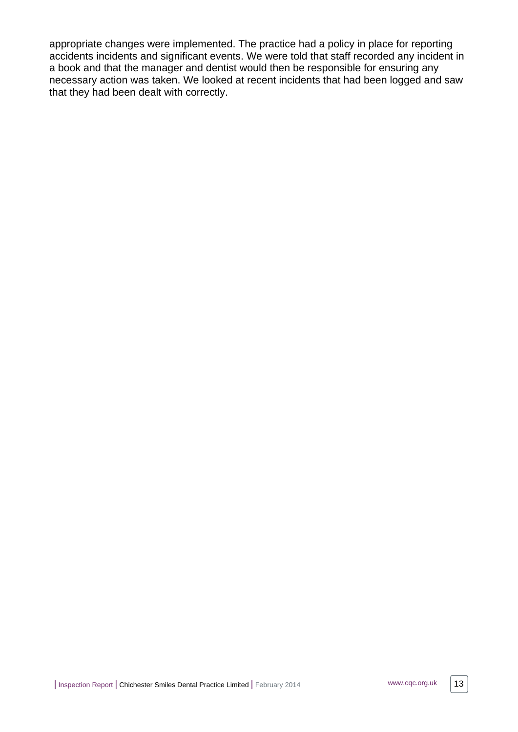appropriate changes were implemented. The practice had a policy in place for reporting accidents incidents and significant events. We were told that staff recorded any incident in a book and that the manager and dentist would then be responsible for ensuring any necessary action was taken. We looked at recent incidents that had been logged and saw that they had been dealt with correctly.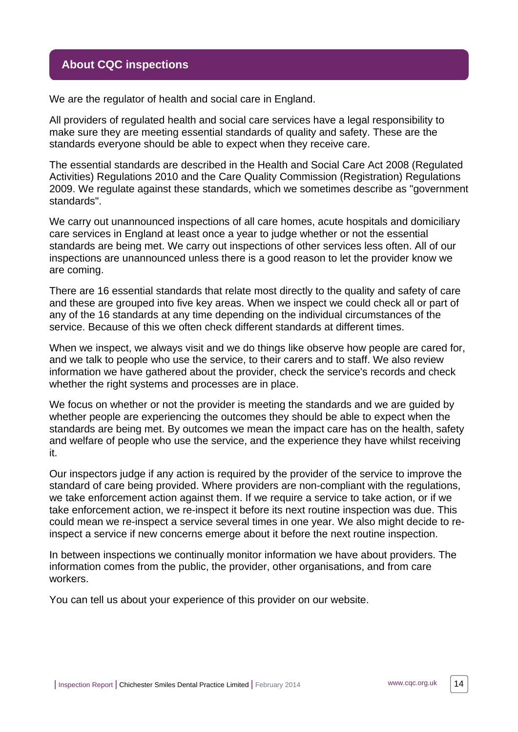## <span id="page-13-0"></span>**About CQC inspections**

We are the regulator of health and social care in England.

All providers of regulated health and social care services have a legal responsibility to make sure they are meeting essential standards of quality and safety. These are the standards everyone should be able to expect when they receive care.

The essential standards are described in the Health and Social Care Act 2008 (Regulated Activities) Regulations 2010 and the Care Quality Commission (Registration) Regulations 2009. We regulate against these standards, which we sometimes describe as "government standards".

We carry out unannounced inspections of all care homes, acute hospitals and domiciliary care services in England at least once a year to judge whether or not the essential standards are being met. We carry out inspections of other services less often. All of our inspections are unannounced unless there is a good reason to let the provider know we are coming.

There are 16 essential standards that relate most directly to the quality and safety of care and these are grouped into five key areas. When we inspect we could check all or part of any of the 16 standards at any time depending on the individual circumstances of the service. Because of this we often check different standards at different times.

When we inspect, we always visit and we do things like observe how people are cared for, and we talk to people who use the service, to their carers and to staff. We also review information we have gathered about the provider, check the service's records and check whether the right systems and processes are in place.

We focus on whether or not the provider is meeting the standards and we are guided by whether people are experiencing the outcomes they should be able to expect when the standards are being met. By outcomes we mean the impact care has on the health, safety and welfare of people who use the service, and the experience they have whilst receiving it.

Our inspectors judge if any action is required by the provider of the service to improve the standard of care being provided. Where providers are non-compliant with the regulations, we take enforcement action against them. If we require a service to take action, or if we take enforcement action, we re-inspect it before its next routine inspection was due. This could mean we re-inspect a service several times in one year. We also might decide to reinspect a service if new concerns emerge about it before the next routine inspection.

In between inspections we continually monitor information we have about providers. The information comes from the public, the provider, other organisations, and from care workers.

You can tell us about your experience of this provider on our website.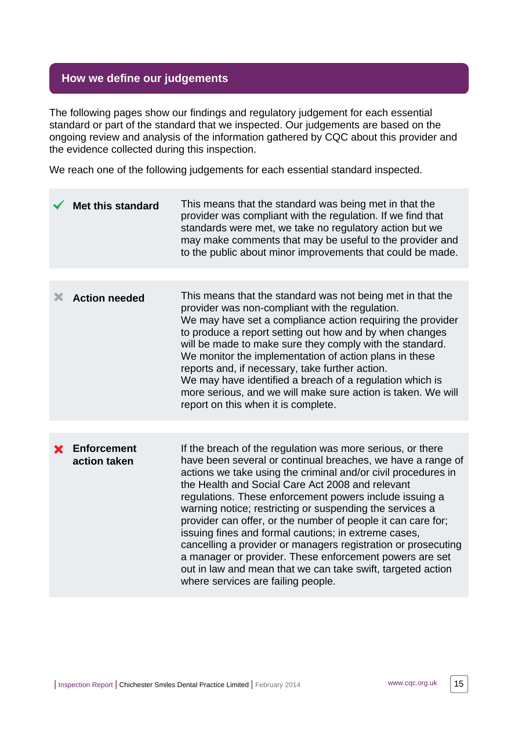# <span id="page-14-0"></span>**How we define our judgements**

The following pages show our findings and regulatory judgement for each essential standard or part of the standard that we inspected. Our judgements are based on the ongoing review and analysis of the information gathered by CQC about this provider and the evidence collected during this inspection.

We reach one of the following judgements for each essential standard inspected.

|   | <b>Met this standard</b>           | This means that the standard was being met in that the<br>provider was compliant with the regulation. If we find that<br>standards were met, we take no regulatory action but we<br>may make comments that may be useful to the provider and<br>to the public about minor improvements that could be made.                                                                                                                                                                                                                                                                                                                                                                                                                     |
|---|------------------------------------|--------------------------------------------------------------------------------------------------------------------------------------------------------------------------------------------------------------------------------------------------------------------------------------------------------------------------------------------------------------------------------------------------------------------------------------------------------------------------------------------------------------------------------------------------------------------------------------------------------------------------------------------------------------------------------------------------------------------------------|
|   |                                    |                                                                                                                                                                                                                                                                                                                                                                                                                                                                                                                                                                                                                                                                                                                                |
| Х | <b>Action needed</b>               | This means that the standard was not being met in that the<br>provider was non-compliant with the regulation.<br>We may have set a compliance action requiring the provider<br>to produce a report setting out how and by when changes<br>will be made to make sure they comply with the standard.<br>We monitor the implementation of action plans in these<br>reports and, if necessary, take further action.<br>We may have identified a breach of a regulation which is<br>more serious, and we will make sure action is taken. We will<br>report on this when it is complete.                                                                                                                                             |
|   |                                    |                                                                                                                                                                                                                                                                                                                                                                                                                                                                                                                                                                                                                                                                                                                                |
|   | <b>Enforcement</b><br>action taken | If the breach of the regulation was more serious, or there<br>have been several or continual breaches, we have a range of<br>actions we take using the criminal and/or civil procedures in<br>the Health and Social Care Act 2008 and relevant<br>regulations. These enforcement powers include issuing a<br>warning notice; restricting or suspending the services a<br>provider can offer, or the number of people it can care for;<br>issuing fines and formal cautions; in extreme cases,<br>cancelling a provider or managers registration or prosecuting<br>a manager or provider. These enforcement powers are set<br>out in law and mean that we can take swift, targeted action<br>where services are failing people. |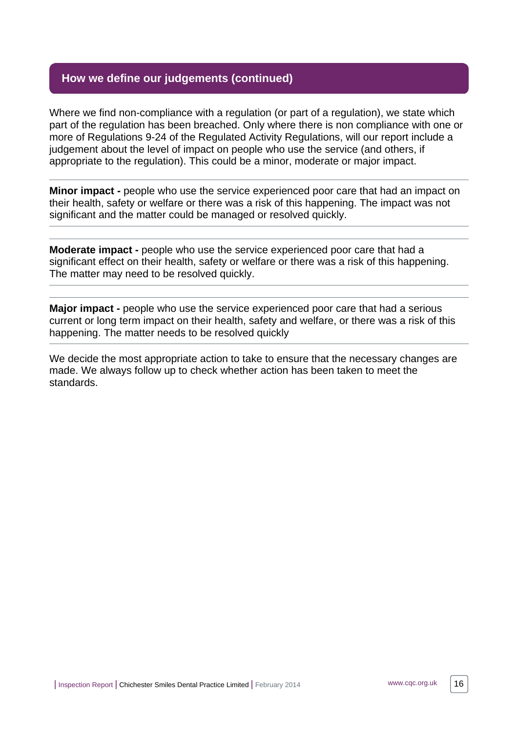# **How we define our judgements (continued)**

Where we find non-compliance with a regulation (or part of a regulation), we state which part of the regulation has been breached. Only where there is non compliance with one or more of Regulations 9-24 of the Regulated Activity Regulations, will our report include a judgement about the level of impact on people who use the service (and others, if appropriate to the regulation). This could be a minor, moderate or major impact.

**Minor impact -** people who use the service experienced poor care that had an impact on their health, safety or welfare or there was a risk of this happening. The impact was not significant and the matter could be managed or resolved quickly.

**Moderate impact -** people who use the service experienced poor care that had a significant effect on their health, safety or welfare or there was a risk of this happening. The matter may need to be resolved quickly.

**Major impact -** people who use the service experienced poor care that had a serious current or long term impact on their health, safety and welfare, or there was a risk of this happening. The matter needs to be resolved quickly

We decide the most appropriate action to take to ensure that the necessary changes are made. We always follow up to check whether action has been taken to meet the standards.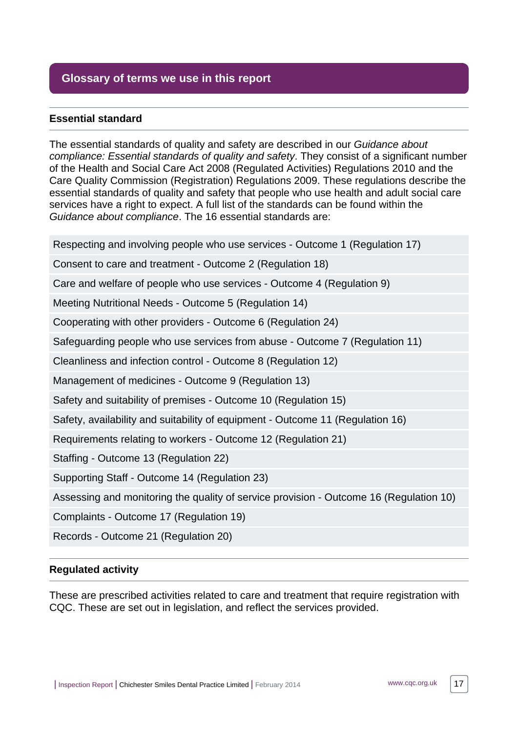# <span id="page-16-0"></span>**Glossary of terms we use in this report**

#### **Essential standard**

The essential standards of quality and safety are described in our Guidance about compliance: Essential standards of quality and safety. They consist of a significant number of the Health and Social Care Act 2008 (Regulated Activities) Regulations 2010 and the Care Quality Commission (Registration) Regulations 2009. These regulations describe the essential standards of quality and safety that people who use health and adult social care services have a right to expect. A full list of the standards can be found within the Guidance about compliance. The 16 essential standards are:

Respecting and involving people who use services - Outcome 1 (Regulation 17)

Consent to care and treatment - Outcome 2 (Regulation 18)

Care and welfare of people who use services - Outcome 4 (Regulation 9)

Meeting Nutritional Needs - Outcome 5 (Regulation 14)

Cooperating with other providers - Outcome 6 (Regulation 24)

Safeguarding people who use services from abuse - Outcome 7 (Regulation 11)

Cleanliness and infection control - Outcome 8 (Regulation 12)

Management of medicines - Outcome 9 (Regulation 13)

Safety and suitability of premises - Outcome 10 (Regulation 15)

Safety, availability and suitability of equipment - Outcome 11 (Regulation 16)

Requirements relating to workers - Outcome 12 (Regulation 21)

Staffing - Outcome 13 (Regulation 22)

Supporting Staff - Outcome 14 (Regulation 23)

Assessing and monitoring the quality of service provision - Outcome 16 (Regulation 10)

Complaints - Outcome 17 (Regulation 19)

Records - Outcome 21 (Regulation 20)

#### **Regulated activity**

These are prescribed activities related to care and treatment that require registration with CQC. These are set out in legislation, and reflect the services provided.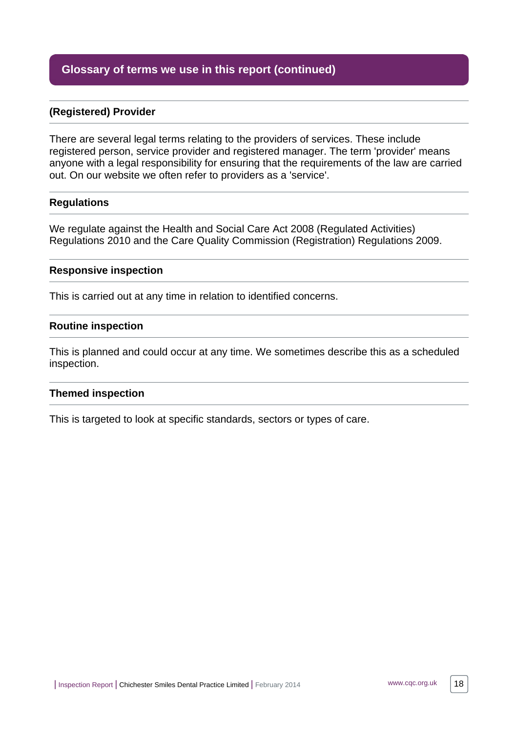# **Glossary of terms we use in this report (continued)**

#### **(Registered) Provider**

There are several legal terms relating to the providers of services. These include registered person, service provider and registered manager. The term 'provider' means anyone with a legal responsibility for ensuring that the requirements of the law are carried out. On our website we often refer to providers as a 'service'.

#### **Regulations**

We regulate against the Health and Social Care Act 2008 (Regulated Activities) Regulations 2010 and the Care Quality Commission (Registration) Regulations 2009.

#### **Responsive inspection**

This is carried out at any time in relation to identified concerns.

#### **Routine inspection**

This is planned and could occur at any time. We sometimes describe this as a scheduled inspection.

#### **Themed inspection**

This is targeted to look at specific standards, sectors or types of care.